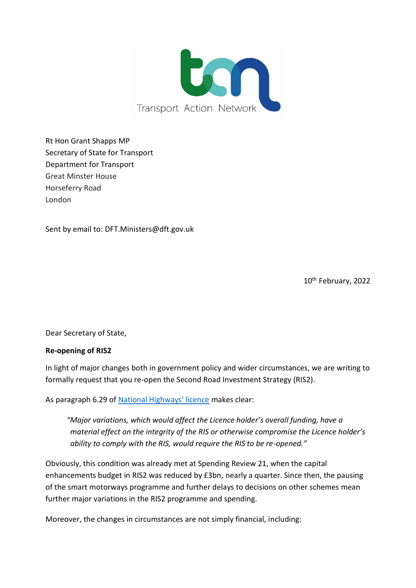

Rt Hon Grant Shapps MP Secretary of State for Transport Department for Transport Great Minster House Horseferry Road London

Sent by email to: DFT.Ministers@dft.gov.uk

10th February, 2022

Dear Secretary of State,

## **Re-opening of RIS2**

In light of major changes both in government policy and wider circumstances, we are writing to formally request that you re-open the Second Road Investment Strategy (RIS2).

As paragraph 6.29 of [National Highways' licence](https://assets.publishing.service.gov.uk/government/uploads/system/uploads/attachment_data/file/431389/strategic-highways-licence.pdf) makes clear:

*"Major variations, which would affect the Licence holder's overall funding, have a material effect on the integrity of the RIS or otherwise compromise the Licence holder's ability to comply with the RIS, would require the RIS to be re-opened."*

Obviously, this condition was already met at Spending Review 21, when the capital enhancements budget in RIS2 was reduced by £3bn, nearly a quarter. Since then, the pausing of the smart motorways programme and further delays to decisions on other schemes mean further major variations in the RIS2 programme and spending.

Moreover, the changes in circumstances are not simply financial, including: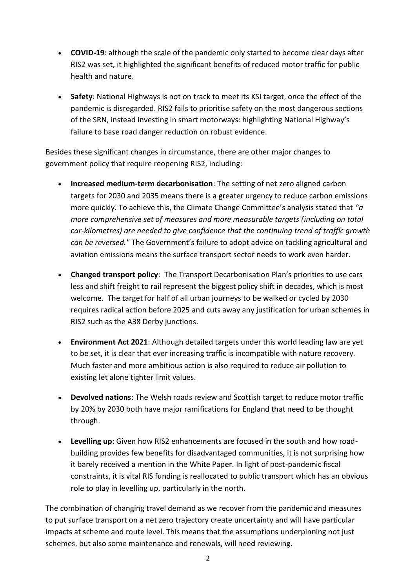- **COVID-19**: although the scale of the pandemic only started to become clear days after RIS2 was set, it highlighted the significant benefits of reduced motor traffic for public health and nature.
- **Safety**: National Highways is not on track to meet its KSI target, once the effect of the pandemic is disregarded. RIS2 fails to prioritise safety on the most dangerous sections of the SRN, instead investing in smart motorways: highlighting National Highway's failure to base road danger reduction on robust evidence.

Besides these significant changes in circumstance, there are other major changes to government policy that require reopening RIS2, including:

- **Increased medium-term decarbonisation**: The setting of net zero aligned carbon targets for 2030 and 2035 means there is a greater urgency to reduce carbon emissions more quickly. To achieve this, the Climate Change Committee's analysis stated that *"a more comprehensive set of measures and more measurable targets (including on total car-kilometres) are needed to give confidence that the continuing trend of traffic growth can be reversed."* The Government's failure to adopt advice on tackling agricultural and aviation emissions means the surface transport sector needs to work even harder.
- **Changed transport policy**: The Transport Decarbonisation Plan's priorities to use cars less and shift freight to rail represent the biggest policy shift in decades, which is most welcome. The target for half of all urban journeys to be walked or cycled by 2030 requires radical action before 2025 and cuts away any justification for urban schemes in RIS2 such as the A38 Derby junctions.
- **Environment Act 2021**: Although detailed targets under this world leading law are yet to be set, it is clear that ever increasing traffic is incompatible with nature recovery. Much faster and more ambitious action is also required to reduce air pollution to existing let alone tighter limit values.
- **Devolved nations:** The Welsh roads review and Scottish target to reduce motor traffic by 20% by 2030 both have major ramifications for England that need to be thought through.
- **Levelling up**: Given how RIS2 enhancements are focused in the south and how roadbuilding provides few benefits for disadvantaged communities, it is not surprising how it barely received a mention in the White Paper. In light of post-pandemic fiscal constraints, it is vital RIS funding is reallocated to public transport which has an obvious role to play in levelling up, particularly in the north.

The combination of changing travel demand as we recover from the pandemic and measures to put surface transport on a net zero trajectory create uncertainty and will have particular impacts at scheme and route level. This means that the assumptions underpinning not just schemes, but also some maintenance and renewals, will need reviewing.